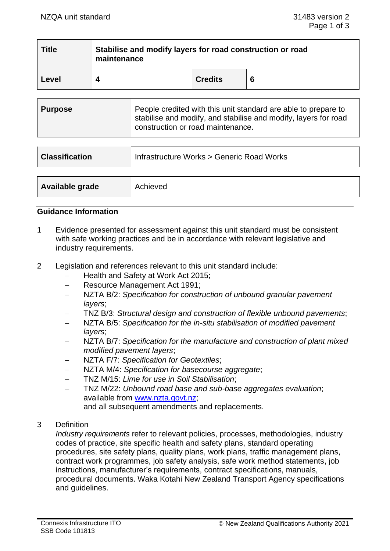| <b>Title</b> | Stabilise and modify layers for road construction or road<br>maintenance |                |  |
|--------------|--------------------------------------------------------------------------|----------------|--|
| Level        |                                                                          | <b>Credits</b> |  |

| Purpose | People credited with this unit standard are able to prepare to<br>stabilise and modify, and stabilise and modify, layers for road<br>construction or road maintenance. |
|---------|------------------------------------------------------------------------------------------------------------------------------------------------------------------------|
|         |                                                                                                                                                                        |

| <b>Classification</b> | Infrastructure Works > Generic Road Works |  |
|-----------------------|-------------------------------------------|--|
|                       |                                           |  |
| Available grade       | Achieved                                  |  |

# **Guidance Information**

- 1 Evidence presented for assessment against this unit standard must be consistent with safe working practices and be in accordance with relevant legislative and industry requirements.
- 2 Legislation and references relevant to this unit standard include:
	- − Health and Safety at Work Act 2015;
	- − Resource Management Act 1991;
	- − NZTA B/2: *Specification for construction of unbound granular pavement layers*;
	- − TNZ B/3: *Structural design and construction of flexible unbound pavements*;
	- − NZTA B/5: *Specification for the in-situ stabilisation of modified pavement layers*;
	- − NZTA B/7: *Specification for the manufacture and construction of plant mixed modified pavement layers*;
	- − NZTA F/7: *Specification for Geotextiles*;
	- − NZTA M/4: *Specification for basecourse aggregate*;
	- − TNZ M/15: *Lime for use in Soil Stabilisation*;
	- − TNZ M/22: *Unbound road base and sub-base aggregates evaluation*; available from [www.nzta.govt.nz;](http://www.nzta.govt.nz/)

and all subsequent amendments and replacements.

3 Definition

*Industry requirements* refer to relevant policies, processes, methodologies, industry codes of practice, site specific health and safety plans, standard operating procedures, site safety plans, quality plans, work plans, traffic management plans, contract work programmes, job safety analysis, safe work method statements, job instructions, manufacturer's requirements, contract specifications, manuals, procedural documents. Waka Kotahi New Zealand Transport Agency specifications and guidelines.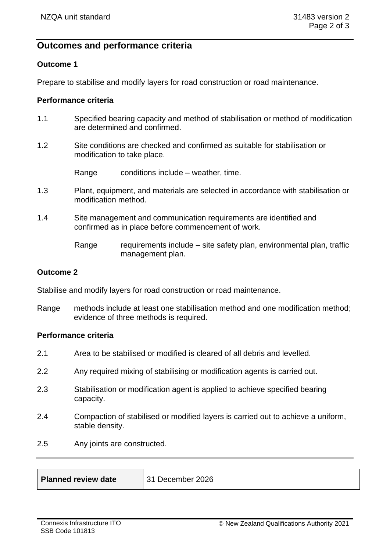# **Outcomes and performance criteria**

# **Outcome 1**

Prepare to stabilise and modify layers for road construction or road maintenance.

#### **Performance criteria**

- 1.1 Specified bearing capacity and method of stabilisation or method of modification are determined and confirmed.
- 1.2 Site conditions are checked and confirmed as suitable for stabilisation or modification to take place.

Range conditions include – weather, time.

- 1.3 Plant, equipment, and materials are selected in accordance with stabilisation or modification method.
- 1.4 Site management and communication requirements are identified and confirmed as in place before commencement of work.
	- Range requirements include site safety plan, environmental plan, traffic management plan.

# **Outcome 2**

Stabilise and modify layers for road construction or road maintenance.

Range methods include at least one stabilisation method and one modification method; evidence of three methods is required.

# **Performance criteria**

- 2.1 Area to be stabilised or modified is cleared of all debris and levelled.
- 2.2 Any required mixing of stabilising or modification agents is carried out.
- 2.3 Stabilisation or modification agent is applied to achieve specified bearing capacity.
- 2.4 Compaction of stabilised or modified layers is carried out to achieve a uniform, stable density.
- 2.5 Any joints are constructed.

| <b>Planned review date</b> | 131 December 2026 |
|----------------------------|-------------------|
|----------------------------|-------------------|